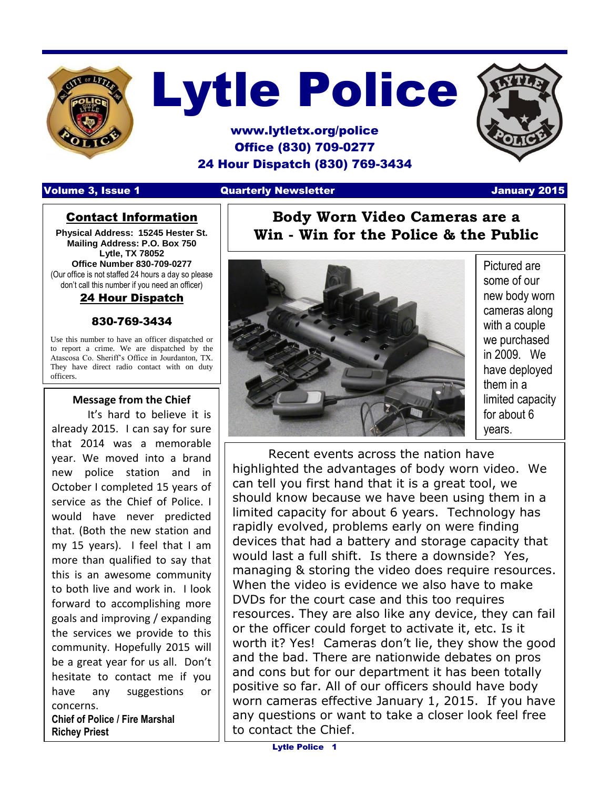

# Lytle Police

### www.lytletx.org/police Office (830) 709-0277 24 Hour Dispatch (830) 769-3434

#### Volume 3, Issue 1 Quarterly Newsletter January 2015

#### Contact Information

**Physical Address: 15245 Hester St. Mailing Address: P.O. Box 750 Lytle, TX 78052 Office Number 830-709-0277** (Our office is not staffed 24 hours a day so please don't call this number if you need an officer)

#### 24 Hour Dispatch

#### 830-769-3434

Use this number to have an officer dispatched or to report a crime. We are dispatched by the Atascosa Co. Sheriff's Office in Jourdanton, TX. They have direct radio contact with on duty officers.

#### **Message from the Chief**

I

It's hard to believe it is already 2015. I can say for sure that 2014 was a memorable year. We moved into a brand new police station and in October I completed 15 years of service as the Chief of Police. I would have never predicted that. (Both the new station and my 15 years). I feel that I am more than qualified to say that this is an awesome community to both live and work in. I look forward to accomplishing more goals and improving / expanding the services we provide to this community. Hopefully 2015 will be a great year for us all. Don't hesitate to contact me if you have any suggestions or concerns.

**Chief of Police / Fire Marshal Richey Priest**





Pictured are some of our new body worn cameras along with a couple we purchased in 2009. We have deployed them in a limited capacity for about 6 years.

Recent events across the nation have highlighted the advantages of body worn video. We can tell you first hand that it is a great tool, we should know because we have been using them in a limited capacity for about 6 years. Technology has rapidly evolved, problems early on were finding devices that had a battery and storage capacity that would last a full shift. Is there a downside? Yes, managing & storing the video does require resources. When the video is evidence we also have to make DVDs for the court case and this too requires resources. They are also like any device, they can fail or the officer could forget to activate it, etc. Is it worth it? Yes! Cameras don't lie, they show the good and the bad. There are nationwide debates on pros and cons but for our department it has been totally positive so far. All of our officers should have body worn cameras effective January 1, 2015. If you have any questions or want to take a closer look feel free to contact the Chief.